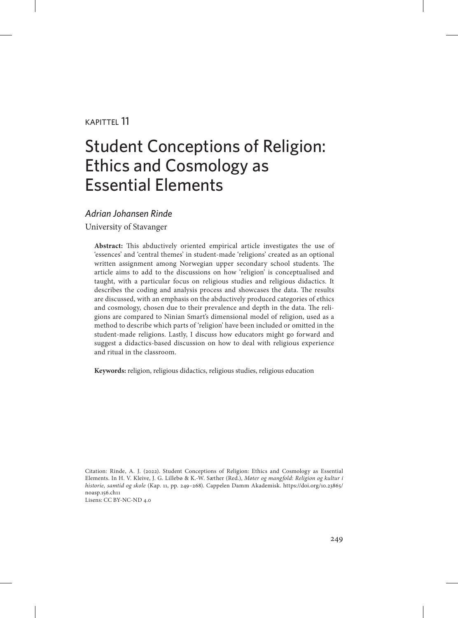#### kapittel 11

# Student Conceptions of Religion: Ethics and Cosmology as Essential Elements

#### *Adrian Johansen Rinde*

University of Stavanger

**Abstract:** This abductively oriented empirical article investigates the use of 'essences' and 'central themes' in student-made 'religions' created as an optional written assignment among Norwegian upper secondary school students. The article aims to add to the discussions on how 'religion' is conceptualised and taught, with a particular focus on religious studies and religious didactics. It describes the coding and analysis process and showcases the data. The results are discussed, with an emphasis on the abductively produced categories of ethics and cosmology, chosen due to their prevalence and depth in the data. The religions are compared to Ninian Smart's dimensional model of religion, used as a method to describe which parts of 'religion' have been included or omitted in the student-made religions. Lastly, I discuss how educators might go forward and suggest a didactics-based discussion on how to deal with religious experience and ritual in the classroom.

**Keywords:** religion, religious didactics, religious studies, religious education

Citation: Rinde, A. J. (2022). Student Conceptions of Religion: Ethics and Cosmology as Essential Elements. In H. V. Kleive, J. G. Lillebø & K.-W. Sæther (Red.), *Møter og mangfold: Religion og kultur i historie, samtid og skole* (Kap. 11, pp. 249–268). Cappelen Damm Akademisk. [https://doi.org/10.23865/](https://doi.org/10.23865/noasp.156.ch11) [noasp.156.ch11](https://doi.org/10.23865/noasp.156.ch11) Lisens: CC BY-NC-ND 4.0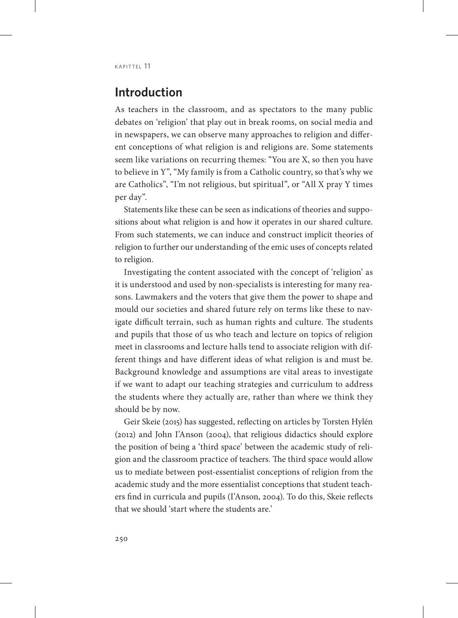## **Introduction**

As teachers in the classroom, and as spectators to the many public debates on 'religion' that play out in break rooms, on social media and in newspapers, we can observe many approaches to religion and different conceptions of what religion is and religions are. Some statements seem like variations on recurring themes: "You are X, so then you have to believe in Y", "My family is from a Catholic country, so that's why we are Catholics", "I'm not religious, but spiritual", or "All X pray Y times per day".

Statements like these can be seen as indications of theories and suppositions about what religion is and how it operates in our shared culture. From such statements, we can induce and construct implicit theories of religion to further our understanding of the emic uses of concepts related to religion.

Investigating the content associated with the concept of 'religion' as it is understood and used by non-specialists is interesting for many reasons. Lawmakers and the voters that give them the power to shape and mould our societies and shared future rely on terms like these to navigate difficult terrain, such as human rights and culture. The students and pupils that those of us who teach and lecture on topics of religion meet in classrooms and lecture halls tend to associate religion with different things and have different ideas of what religion is and must be. Background knowledge and assumptions are vital areas to investigate if we want to adapt our teaching strategies and curriculum to address the students where they actually are, rather than where we think they should be by now.

Geir Skeie (2015) has suggested, reflecting on articles by Torsten Hylén (2012) and John I'Anson (2004), that religious didactics should explore the position of being a 'third space' between the academic study of religion and the classroom practice of teachers. The third space would allow us to mediate between post-essentialist conceptions of religion from the academic study and the more essentialist conceptions that student teachers find in curricula and pupils (I'Anson, 2004). To do this, Skeie reflects that we should 'start where the students are.'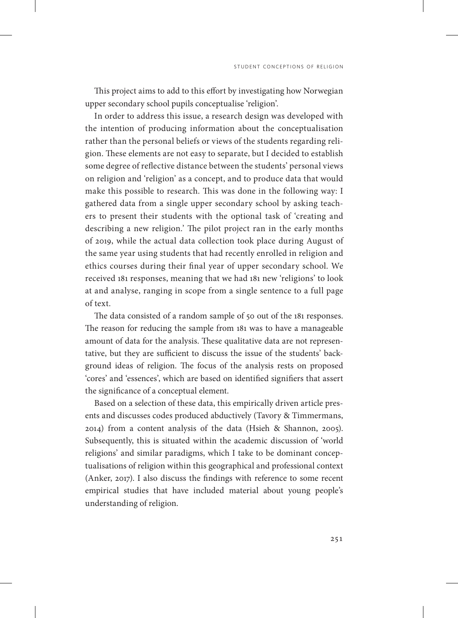This project aims to add to this effort by investigating how Norwegian upper secondary school pupils conceptualise 'religion'.

In order to address this issue, a research design was developed with the intention of producing information about the conceptualisation rather than the personal beliefs or views of the students regarding religion. These elements are not easy to separate, but I decided to establish some degree of reflective distance between the students' personal views on religion and 'religion' as a concept, and to produce data that would make this possible to research. This was done in the following way: I gathered data from a single upper secondary school by asking teachers to present their students with the optional task of 'creating and describing a new religion.' The pilot project ran in the early months of 2019, while the actual data collection took place during August of the same year using students that had recently enrolled in religion and ethics courses during their final year of upper secondary school. We received 181 responses, meaning that we had 181 new 'religions' to look at and analyse, ranging in scope from a single sentence to a full page of text.

The data consisted of a random sample of 50 out of the 181 responses. The reason for reducing the sample from 181 was to have a manageable amount of data for the analysis. These qualitative data are not representative, but they are sufficient to discuss the issue of the students' background ideas of religion. The focus of the analysis rests on proposed 'cores' and 'essences', which are based on identified signifiers that assert the significance of a conceptual element.

Based on a selection of these data, this empirically driven article presents and discusses codes produced abductively (Tavory & Timmermans, 2014) from a content analysis of the data (Hsieh & Shannon, 2005). Subsequently, this is situated within the academic discussion of 'world religions' and similar paradigms, which I take to be dominant conceptualisations of religion within this geographical and professional context (Anker, 2017). I also discuss the findings with reference to some recent empirical studies that have included material about young people's understanding of religion.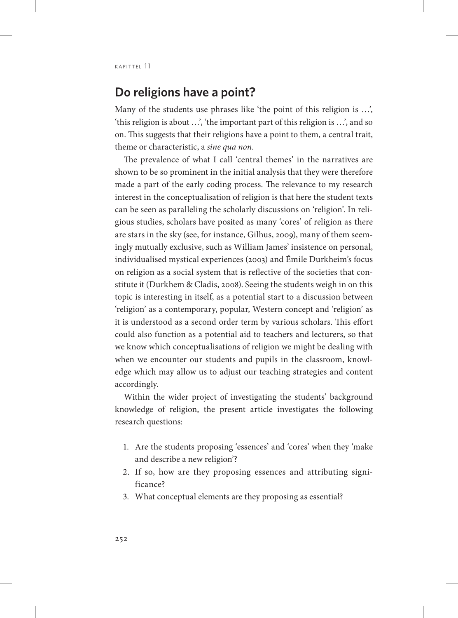#### **Do religions have a point?**

Many of the students use phrases like 'the point of this religion is …', 'this religion is about …', 'the important part of this religion is …', and so on. This suggests that their religions have a point to them, a central trait, theme or characteristic, a *sine qua non*.

The prevalence of what I call 'central themes' in the narratives are shown to be so prominent in the initial analysis that they were therefore made a part of the early coding process. The relevance to my research interest in the conceptualisation of religion is that here the student texts can be seen as paralleling the scholarly discussions on 'religion'. In religious studies, scholars have posited as many 'cores' of religion as there are stars in the sky (see, for instance, Gilhus, 2009), many of them seemingly mutually exclusive, such as William James' insistence on personal, individualised mystical experiences (2003) and Émile Durkheim's focus on religion as a social system that is reflective of the societies that constitute it (Durkhem & Cladis, 2008). Seeing the students weigh in on this topic is interesting in itself, as a potential start to a discussion between 'religion' as a contemporary, popular, Western concept and 'religion' as it is understood as a second order term by various scholars. This effort could also function as a potential aid to teachers and lecturers, so that we know which conceptualisations of religion we might be dealing with when we encounter our students and pupils in the classroom, knowledge which may allow us to adjust our teaching strategies and content accordingly.

Within the wider project of investigating the students' background knowledge of religion, the present article investigates the following research questions:

- 1. Are the students proposing 'essences' and 'cores' when they 'make and describe a new religion'?
- 2. If so, how are they proposing essences and attributing significance?
- 3. What conceptual elements are they proposing as essential?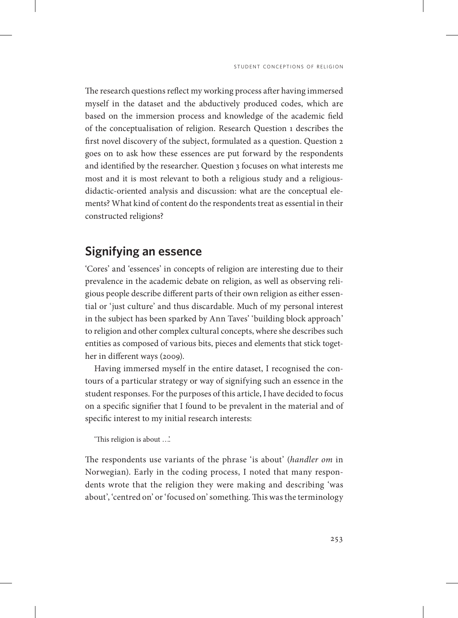The research questions reflect my working process after having immersed myself in the dataset and the abductively produced codes, which are based on the immersion process and knowledge of the academic field of the conceptualisation of religion. Research Question 1 describes the first novel discovery of the subject, formulated as a question. Question 2 goes on to ask how these essences are put forward by the respondents and identified by the researcher. Question 3 focuses on what interests me most and it is most relevant to both a religious study and a religiousdidactic-oriented analysis and discussion: what are the conceptual elements? What kind of content do the respondents treat as essential in their constructed religions?

# **Signifying an essence**

'Cores' and 'essences' in concepts of religion are interesting due to their prevalence in the academic debate on religion, as well as observing religious people describe different parts of their own religion as either essential or 'just culture' and thus discardable. Much of my personal interest in the subject has been sparked by Ann Taves' 'building block approach' to religion and other complex cultural concepts, where she describes such entities as composed of various bits, pieces and elements that stick together in different ways (2009).

Having immersed myself in the entire dataset, I recognised the contours of a particular strategy or way of signifying such an essence in the student responses. For the purposes of this article, I have decided to focus on a specific signifier that I found to be prevalent in the material and of specific interest to my initial research interests:

'This religion is about …'.

The respondents use variants of the phrase 'is about' (*handler om* in Norwegian). Early in the coding process, I noted that many respondents wrote that the religion they were making and describing 'was about', 'centred on' or 'focused on' something. This was the terminology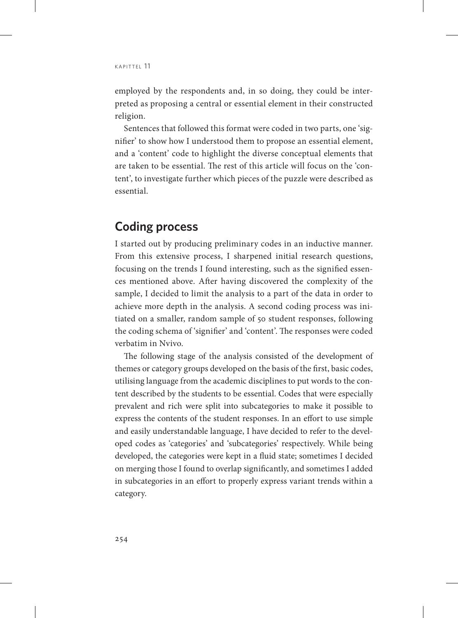employed by the respondents and, in so doing, they could be interpreted as proposing a central or essential element in their constructed religion.

Sentences that followed this format were coded in two parts, one 'signifier' to show how I understood them to propose an essential element, and a 'content' code to highlight the diverse conceptual elements that are taken to be essential. The rest of this article will focus on the 'content', to investigate further which pieces of the puzzle were described as essential.

## **Coding process**

I started out by producing preliminary codes in an inductive manner. From this extensive process, I sharpened initial research questions, focusing on the trends I found interesting, such as the signified essences mentioned above. After having discovered the complexity of the sample, I decided to limit the analysis to a part of the data in order to achieve more depth in the analysis. A second coding process was initiated on a smaller, random sample of 50 student responses, following the coding schema of 'signifier' and 'content'. The responses were coded verbatim in Nvivo.

The following stage of the analysis consisted of the development of themes or category groups developed on the basis of the first, basic codes, utilising language from the academic disciplines to put words to the content described by the students to be essential. Codes that were especially prevalent and rich were split into subcategories to make it possible to express the contents of the student responses. In an effort to use simple and easily understandable language, I have decided to refer to the developed codes as 'categories' and 'subcategories' respectively. While being developed, the categories were kept in a fluid state; sometimes I decided on merging those I found to overlap significantly, and sometimes I added in subcategories in an effort to properly express variant trends within a category.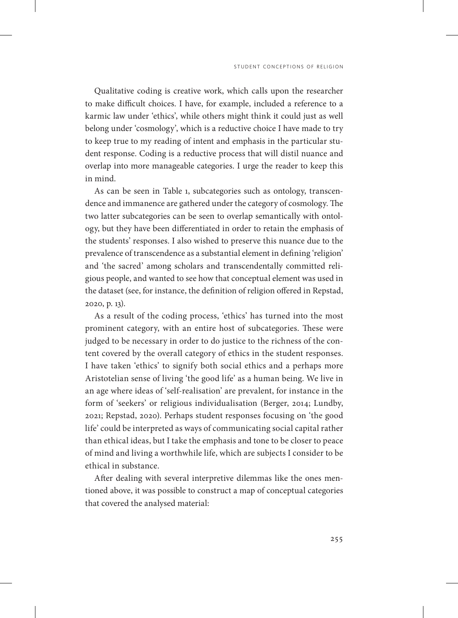Qualitative coding is creative work, which calls upon the researcher to make difficult choices. I have, for example, included a reference to a karmic law under 'ethics', while others might think it could just as well belong under 'cosmology', which is a reductive choice I have made to try to keep true to my reading of intent and emphasis in the particular student response. Coding is a reductive process that will distil nuance and overlap into more manageable categories. I urge the reader to keep this in mind.

As can be seen in Table 1, subcategories such as ontology, transcendence and immanence are gathered under the category of cosmology. The two latter subcategories can be seen to overlap semantically with ontology, but they have been differentiated in order to retain the emphasis of the students' responses. I also wished to preserve this nuance due to the prevalence of transcendence as a substantial element in defining 'religion' and 'the sacred' among scholars and transcendentally committed religious people, and wanted to see how that conceptual element was used in the dataset (see, for instance, the definition of religion offered in Repstad, 2020, p. 13).

As a result of the coding process, 'ethics' has turned into the most prominent category, with an entire host of subcategories. These were judged to be necessary in order to do justice to the richness of the content covered by the overall category of ethics in the student responses. I have taken 'ethics' to signify both social ethics and a perhaps more Aristotelian sense of living 'the good life' as a human being. We live in an age where ideas of 'self-realisation' are prevalent, for instance in the form of 'seekers' or religious individualisation (Berger, 2014; Lundby, 2021; Repstad, 2020). Perhaps student responses focusing on 'the good life' could be interpreted as ways of communicating social capital rather than ethical ideas, but I take the emphasis and tone to be closer to peace of mind and living a worthwhile life, which are subjects I consider to be ethical in substance.

After dealing with several interpretive dilemmas like the ones mentioned above, it was possible to construct a map of conceptual categories that covered the analysed material:

255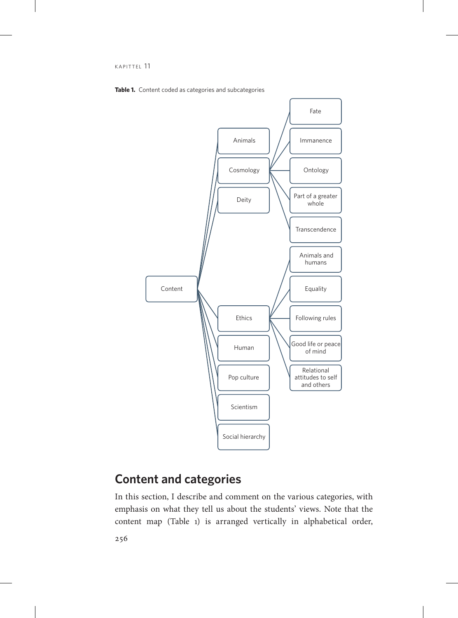



# **Content and categories**

In this section, I describe and comment on the various categories, with emphasis on what they tell us about the students' views. Note that the content map (Table 1) is arranged vertically in alphabetical order,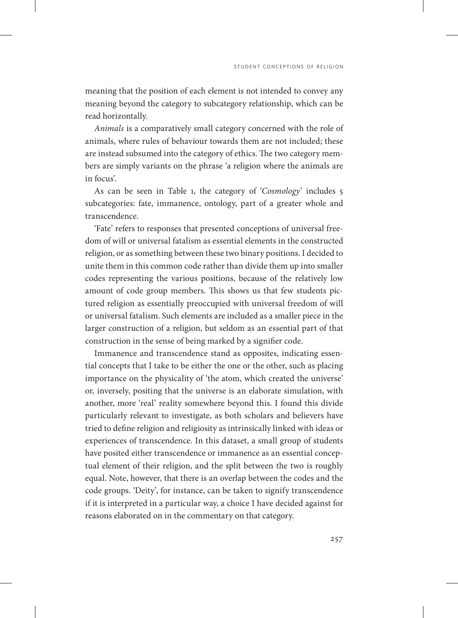meaning that the position of each element is not intended to convey any meaning beyond the category to subcategory relationship, which can be read horizontally.

*Animals* is a comparatively small category concerned with the role of animals, where rules of behaviour towards them are not included; these are instead subsumed into the category of ethics. The two category members are simply variants on the phrase 'a religion where the animals are in focus'.

As can be seen in Table 1, the category of '*Cosmology*' includes 5 subcategories: fate, immanence, ontology, part of a greater whole and transcendence.

'Fate' refers to responses that presented conceptions of universal freedom of will or universal fatalism as essential elements in the constructed religion, or as something between these two binary positions. I decided to unite them in this common code rather than divide them up into smaller codes representing the various positions, because of the relatively low amount of code group members. This shows us that few students pictured religion as essentially preoccupied with universal freedom of will or universal fatalism. Such elements are included as a smaller piece in the larger construction of a religion, but seldom as an essential part of that construction in the sense of being marked by a signifier code.

Immanence and transcendence stand as opposites, indicating essential concepts that I take to be either the one or the other, such as placing importance on the physicality of 'the atom, which created the universe' or, inversely, positing that the universe is an elaborate simulation, with another, more 'real' reality somewhere beyond this. I found this divide particularly relevant to investigate, as both scholars and believers have tried to define religion and religiosity as intrinsically linked with ideas or experiences of transcendence. In this dataset, a small group of students have posited either transcendence or immanence as an essential conceptual element of their religion, and the split between the two is roughly equal. Note, however, that there is an overlap between the codes and the code groups. 'Deity', for instance, can be taken to signify transcendence if it is interpreted in a particular way, a choice I have decided against for reasons elaborated on in the commentary on that category.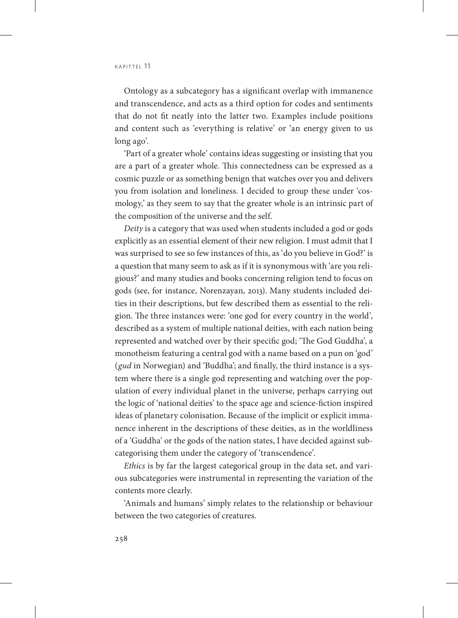Ontology as a subcategory has a significant overlap with immanence and transcendence, and acts as a third option for codes and sentiments that do not fit neatly into the latter two. Examples include positions and content such as 'everything is relative' or 'an energy given to us long ago'.

'Part of a greater whole' contains ideas suggesting or insisting that you are a part of a greater whole. This connectedness can be expressed as a cosmic puzzle or as something benign that watches over you and delivers you from isolation and loneliness. I decided to group these under 'cosmology,' as they seem to say that the greater whole is an intrinsic part of the composition of the universe and the self.

*Deity* is a category that was used when students included a god or gods explicitly as an essential element of their new religion. I must admit that I was surprised to see so few instances of this, as 'do you believe in God?' is a question that many seem to ask as if it is synonymous with 'are you religious?' and many studies and books concerning religion tend to focus on gods (see, for instance, Norenzayan, 2013). Many students included deities in their descriptions, but few described them as essential to the religion. The three instances were: 'one god for every country in the world', described as a system of multiple national deities, with each nation being represented and watched over by their specific god; 'The God Guddha', a monotheism featuring a central god with a name based on a pun on 'god' (*gud* in Norwegian) and 'Buddha'; and finally, the third instance is a system where there is a single god representing and watching over the population of every individual planet in the universe, perhaps carrying out the logic of 'national deities' to the space age and science-fiction inspired ideas of planetary colonisation. Because of the implicit or explicit immanence inherent in the descriptions of these deities, as in the worldliness of a 'Guddha' or the gods of the nation states, I have decided against subcategorising them under the category of 'transcendence'.

*Ethics* is by far the largest categorical group in the data set, and various subcategories were instrumental in representing the variation of the contents more clearly.

'Animals and humans' simply relates to the relationship or behaviour between the two categories of creatures.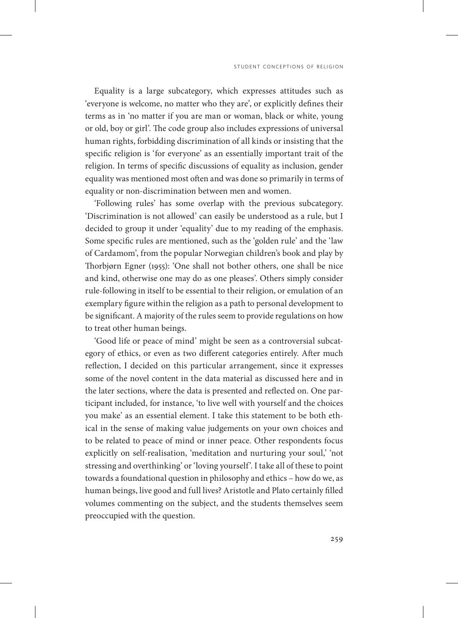Equality is a large subcategory, which expresses attitudes such as 'everyone is welcome, no matter who they are', or explicitly defines their terms as in 'no matter if you are man or woman, black or white, young or old, boy or girl'. The code group also includes expressions of universal human rights, forbidding discrimination of all kinds or insisting that the specific religion is 'for everyone' as an essentially important trait of the religion. In terms of specific discussions of equality as inclusion, gender equality was mentioned most often and was done so primarily in terms of equality or non-discrimination between men and women.

'Following rules' has some overlap with the previous subcategory. 'Discrimination is not allowed' can easily be understood as a rule, but I decided to group it under 'equality' due to my reading of the emphasis. Some specific rules are mentioned, such as the 'golden rule' and the 'law of Cardamom', from the popular Norwegian children's book and play by Thorbjørn Egner (1955): 'One shall not bother others, one shall be nice and kind, otherwise one may do as one pleases'. Others simply consider rule-following in itself to be essential to their religion, or emulation of an exemplary figure within the religion as a path to personal development to be significant. A majority of the rules seem to provide regulations on how to treat other human beings.

'Good life or peace of mind' might be seen as a controversial subcategory of ethics, or even as two different categories entirely. After much reflection, I decided on this particular arrangement, since it expresses some of the novel content in the data material as discussed here and in the later sections, where the data is presented and reflected on. One participant included, for instance, 'to live well with yourself and the choices you make' as an essential element. I take this statement to be both ethical in the sense of making value judgements on your own choices and to be related to peace of mind or inner peace. Other respondents focus explicitly on self-realisation, 'meditation and nurturing your soul,' 'not stressing and overthinking' or 'loving yourself'. I take all of these to point towards a foundational question in philosophy and ethics – how do we, as human beings, live good and full lives? Aristotle and Plato certainly filled volumes commenting on the subject, and the students themselves seem preoccupied with the question.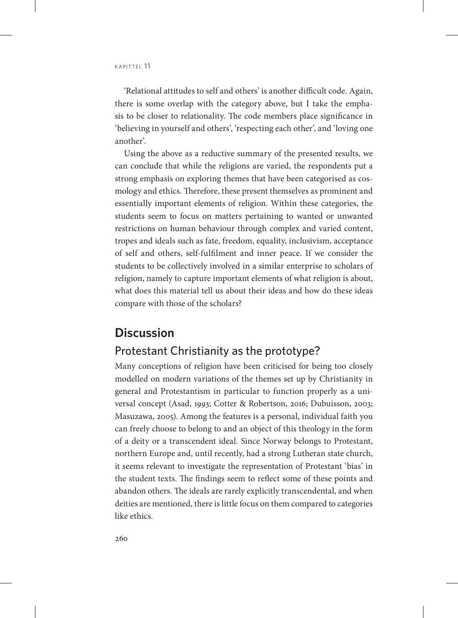'Relational attitudes to self and others' is another difficult code. Again, there is some overlap with the category above, but I take the emphasis to be closer to relationality. The code members place significance in 'believing in yourself and others', 'respecting each other', and 'loving one another'.

Using the above as a reductive summary of the presented results, we can conclude that while the religions are varied, the respondents put a strong emphasis on exploring themes that have been categorised as cosmology and ethics. Therefore, these present themselves as prominent and essentially important elements of religion. Within these categories, the students seem to focus on matters pertaining to wanted or unwanted restrictions on human behaviour through complex and varied content, tropes and ideals such as fate, freedom, equality, inclusivism, acceptance of self and others, self-fulfilment and inner peace. If we consider the students to be collectively involved in a similar enterprise to scholars of religion, namely to capture important elements of what religion is about, what does this material tell us about their ideas and how do these ideas compare with those of the scholars?

## **Discussion**

#### Protestant Christianity as the prototype?

Many conceptions of religion have been criticised for being too closely modelled on modern variations of the themes set up by Christianity in general and Protestantism in particular to function properly as a universal concept (Asad, 1993; Cotter & Robertson, 2016; Dubuisson, 2003; Masuzawa, 2005). Among the features is a personal, individual faith you can freely choose to belong to and an object of this theology in the form of a deity or a transcendent ideal. Since Norway belongs to Protestant, northern Europe and, until recently, had a strong Lutheran state church, it seems relevant to investigate the representation of Protestant 'bias' in the student texts. The findings seem to reflect some of these points and abandon others. The ideals are rarely explicitly transcendental, and when deities are mentioned, there is little focus on them compared to categories like ethics.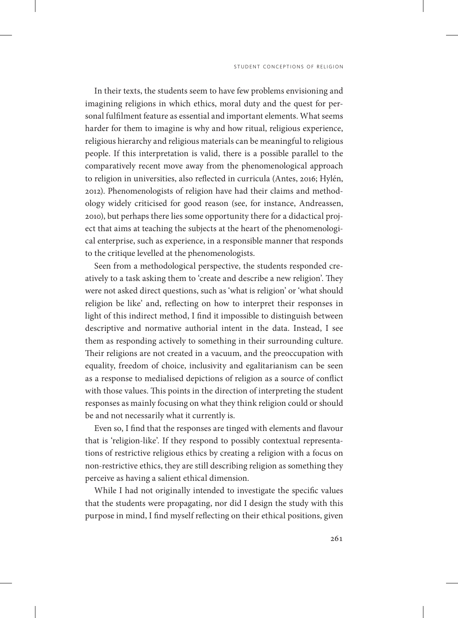In their texts, the students seem to have few problems envisioning and imagining religions in which ethics, moral duty and the quest for personal fulfilment feature as essential and important elements. What seems harder for them to imagine is why and how ritual, religious experience, religious hierarchy and religious materials can be meaningful to religious people. If this interpretation is valid, there is a possible parallel to the comparatively recent move away from the phenomenological approach to religion in universities, also reflected in curricula (Antes, 2016; Hylén, 2012). Phenomenologists of religion have had their claims and methodology widely criticised for good reason (see, for instance, Andreassen, 2010), but perhaps there lies some opportunity there for a didactical project that aims at teaching the subjects at the heart of the phenomenological enterprise, such as experience, in a responsible manner that responds to the critique levelled at the phenomenologists.

Seen from a methodological perspective, the students responded creatively to a task asking them to 'create and describe a new religion'. They were not asked direct questions, such as 'what is religion' or 'what should religion be like' and, reflecting on how to interpret their responses in light of this indirect method, I find it impossible to distinguish between descriptive and normative authorial intent in the data. Instead, I see them as responding actively to something in their surrounding culture. Their religions are not created in a vacuum, and the preoccupation with equality, freedom of choice, inclusivity and egalitarianism can be seen as a response to medialised depictions of religion as a source of conflict with those values. This points in the direction of interpreting the student responses as mainly focusing on what they think religion could or should be and not necessarily what it currently is.

Even so, I find that the responses are tinged with elements and flavour that is 'religion-like'. If they respond to possibly contextual representations of restrictive religious ethics by creating a religion with a focus on non-restrictive ethics, they are still describing religion as something they perceive as having a salient ethical dimension.

While I had not originally intended to investigate the specific values that the students were propagating, nor did I design the study with this purpose in mind, I find myself reflecting on their ethical positions, given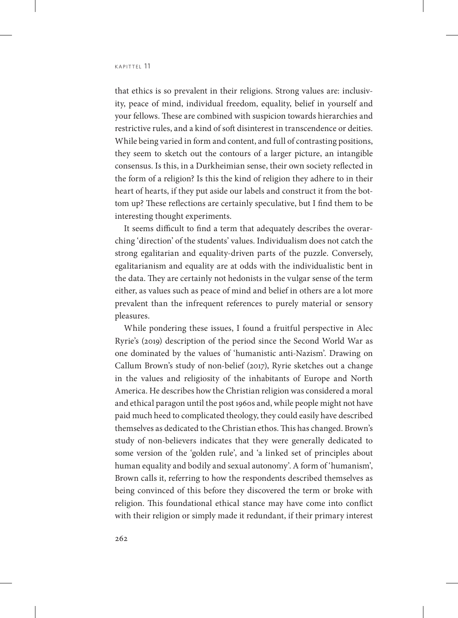that ethics is so prevalent in their religions. Strong values are: inclusivity, peace of mind, individual freedom, equality, belief in yourself and your fellows. These are combined with suspicion towards hierarchies and restrictive rules, and a kind of soft disinterest in transcendence or deities. While being varied in form and content, and full of contrasting positions, they seem to sketch out the contours of a larger picture, an intangible consensus. Is this, in a Durkheimian sense, their own society reflected in the form of a religion? Is this the kind of religion they adhere to in their heart of hearts, if they put aside our labels and construct it from the bottom up? These reflections are certainly speculative, but I find them to be interesting thought experiments.

It seems difficult to find a term that adequately describes the overarching 'direction' of the students' values. Individualism does not catch the strong egalitarian and equality-driven parts of the puzzle. Conversely, egalitarianism and equality are at odds with the individualistic bent in the data. They are certainly not hedonists in the vulgar sense of the term either, as values such as peace of mind and belief in others are a lot more prevalent than the infrequent references to purely material or sensory pleasures.

While pondering these issues, I found a fruitful perspective in Alec Ryrie's (2019) description of the period since the Second World War as one dominated by the values of 'humanistic anti-Nazism'. Drawing on Callum Brown's study of non-belief (2017), Ryrie sketches out a change in the values and religiosity of the inhabitants of Europe and North America. He describes how the Christian religion was considered a moral and ethical paragon until the post 1960s and, while people might not have paid much heed to complicated theology, they could easily have described themselves as dedicated to the Christian ethos. This has changed. Brown's study of non-believers indicates that they were generally dedicated to some version of the 'golden rule', and 'a linked set of principles about human equality and bodily and sexual autonomy'. A form of 'humanism', Brown calls it, referring to how the respondents described themselves as being convinced of this before they discovered the term or broke with religion. This foundational ethical stance may have come into conflict with their religion or simply made it redundant, if their primary interest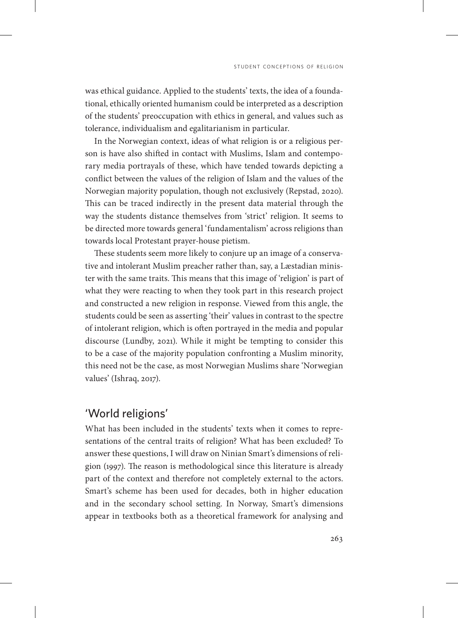was ethical guidance. Applied to the students' texts, the idea of a foundational, ethically oriented humanism could be interpreted as a description of the students' preoccupation with ethics in general, and values such as tolerance, individualism and egalitarianism in particular.

In the Norwegian context, ideas of what religion is or a religious person is have also shifted in contact with Muslims, Islam and contemporary media portrayals of these, which have tended towards depicting a conflict between the values of the religion of Islam and the values of the Norwegian majority population, though not exclusively (Repstad, 2020). This can be traced indirectly in the present data material through the way the students distance themselves from 'strict' religion. It seems to be directed more towards general 'fundamentalism' across religions than towards local Protestant prayer-house pietism.

These students seem more likely to conjure up an image of a conservative and intolerant Muslim preacher rather than, say, a Læstadian minister with the same traits. This means that this image of 'religion' is part of what they were reacting to when they took part in this research project and constructed a new religion in response. Viewed from this angle, the students could be seen as asserting 'their' values in contrast to the spectre of intolerant religion, which is often portrayed in the media and popular discourse (Lundby, 2021). While it might be tempting to consider this to be a case of the majority population confronting a Muslim minority, this need not be the case, as most Norwegian Muslims share 'Norwegian values' (Ishraq, 2017).

#### 'World religions'

What has been included in the students' texts when it comes to representations of the central traits of religion? What has been excluded? To answer these questions, I will draw on Ninian Smart's dimensions of religion (1997). The reason is methodological since this literature is already part of the context and therefore not completely external to the actors. Smart's scheme has been used for decades, both in higher education and in the secondary school setting. In Norway, Smart's dimensions appear in textbooks both as a theoretical framework for analysing and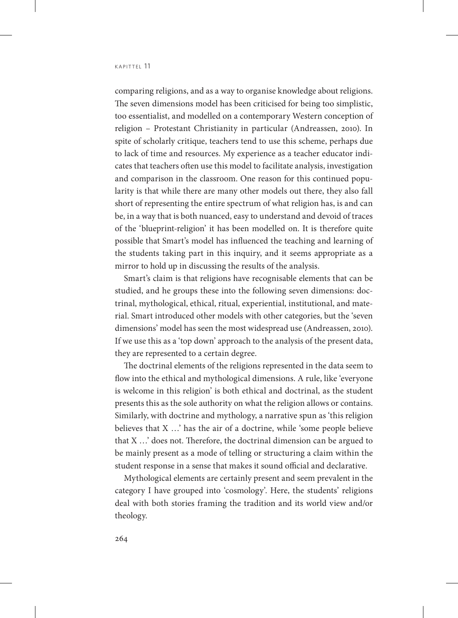comparing religions, and as a way to organise knowledge about religions. The seven dimensions model has been criticised for being too simplistic, too essentialist, and modelled on a contemporary Western conception of religion – Protestant Christianity in particular (Andreassen, 2010). In spite of scholarly critique, teachers tend to use this scheme, perhaps due to lack of time and resources. My experience as a teacher educator indicates that teachers often use this model to facilitate analysis, investigation and comparison in the classroom. One reason for this continued popularity is that while there are many other models out there, they also fall short of representing the entire spectrum of what religion has, is and can be, in a way that is both nuanced, easy to understand and devoid of traces of the 'blueprint-religion' it has been modelled on. It is therefore quite possible that Smart's model has influenced the teaching and learning of the students taking part in this inquiry, and it seems appropriate as a mirror to hold up in discussing the results of the analysis.

Smart's claim is that religions have recognisable elements that can be studied, and he groups these into the following seven dimensions: doctrinal, mythological, ethical, ritual, experiential, institutional, and material. Smart introduced other models with other categories, but the 'seven dimensions' model has seen the most widespread use (Andreassen, 2010). If we use this as a 'top down' approach to the analysis of the present data, they are represented to a certain degree.

The doctrinal elements of the religions represented in the data seem to flow into the ethical and mythological dimensions. A rule, like 'everyone is welcome in this religion' is both ethical and doctrinal, as the student presents this as the sole authority on what the religion allows or contains. Similarly, with doctrine and mythology, a narrative spun as 'this religion believes that X …' has the air of a doctrine, while 'some people believe that X …' does not. Therefore, the doctrinal dimension can be argued to be mainly present as a mode of telling or structuring a claim within the student response in a sense that makes it sound official and declarative.

Mythological elements are certainly present and seem prevalent in the category I have grouped into 'cosmology'. Here, the students' religions deal with both stories framing the tradition and its world view and/or theology.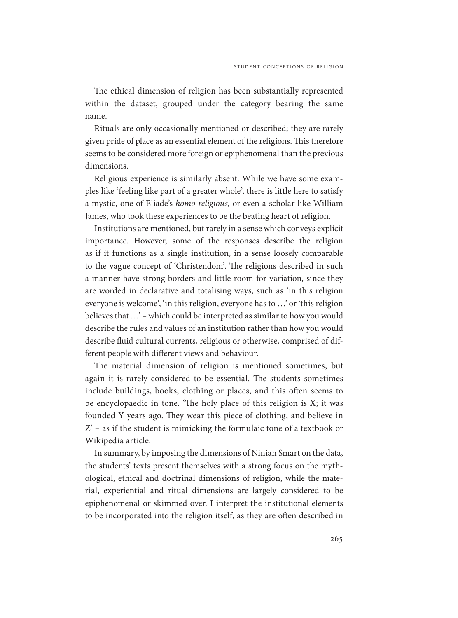The ethical dimension of religion has been substantially represented within the dataset, grouped under the category bearing the same name.

Rituals are only occasionally mentioned or described; they are rarely given pride of place as an essential element of the religions. This therefore seems to be considered more foreign or epiphenomenal than the previous dimensions.

Religious experience is similarly absent. While we have some examples like 'feeling like part of a greater whole', there is little here to satisfy a mystic, one of Eliade's *homo religious*, or even a scholar like William James, who took these experiences to be the beating heart of religion.

Institutions are mentioned, but rarely in a sense which conveys explicit importance. However, some of the responses describe the religion as if it functions as a single institution, in a sense loosely comparable to the vague concept of 'Christendom'. The religions described in such a manner have strong borders and little room for variation, since they are worded in declarative and totalising ways, such as 'in this religion everyone is welcome', 'in this religion, everyone has to …' or 'this religion believes that …' – which could be interpreted as similar to how you would describe the rules and values of an institution rather than how you would describe fluid cultural currents, religious or otherwise, comprised of different people with different views and behaviour.

The material dimension of religion is mentioned sometimes, but again it is rarely considered to be essential. The students sometimes include buildings, books, clothing or places, and this often seems to be encyclopaedic in tone. 'The holy place of this religion is X; it was founded Y years ago. They wear this piece of clothing, and believe in Z' – as if the student is mimicking the formulaic tone of a textbook or Wikipedia article.

In summary, by imposing the dimensions of Ninian Smart on the data, the students' texts present themselves with a strong focus on the mythological, ethical and doctrinal dimensions of religion, while the material, experiential and ritual dimensions are largely considered to be epiphenomenal or skimmed over. I interpret the institutional elements to be incorporated into the religion itself, as they are often described in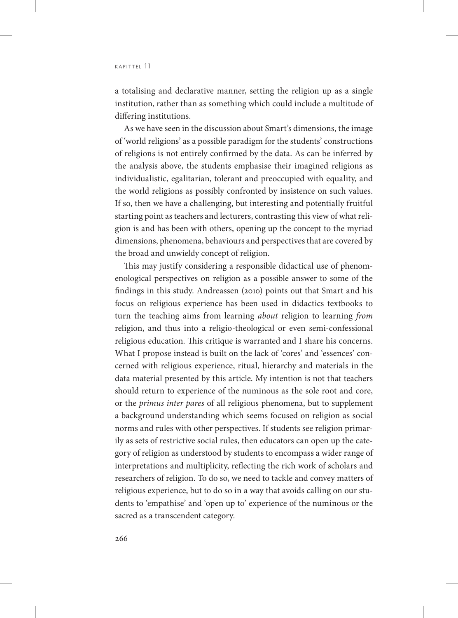a totalising and declarative manner, setting the religion up as a single institution, rather than as something which could include a multitude of differing institutions.

As we have seen in the discussion about Smart's dimensions, the image of 'world religions' as a possible paradigm for the students' constructions of religions is not entirely confirmed by the data. As can be inferred by the analysis above, the students emphasise their imagined religions as individualistic, egalitarian, tolerant and preoccupied with equality, and the world religions as possibly confronted by insistence on such values. If so, then we have a challenging, but interesting and potentially fruitful starting point as teachers and lecturers, contrasting this view of what religion is and has been with others, opening up the concept to the myriad dimensions, phenomena, behaviours and perspectives that are covered by the broad and unwieldy concept of religion.

This may justify considering a responsible didactical use of phenomenological perspectives on religion as a possible answer to some of the findings in this study. Andreassen (2010) points out that Smart and his focus on religious experience has been used in didactics textbooks to turn the teaching aims from learning *about* religion to learning *from* religion, and thus into a religio-theological or even semi-confessional religious education. This critique is warranted and I share his concerns. What I propose instead is built on the lack of 'cores' and 'essences' concerned with religious experience, ritual, hierarchy and materials in the data material presented by this article. My intention is not that teachers should return to experience of the numinous as the sole root and core, or the *primus inter pares* of all religious phenomena, but to supplement a background understanding which seems focused on religion as social norms and rules with other perspectives. If students see religion primarily as sets of restrictive social rules, then educators can open up the category of religion as understood by students to encompass a wider range of interpretations and multiplicity, reflecting the rich work of scholars and researchers of religion. To do so, we need to tackle and convey matters of religious experience, but to do so in a way that avoids calling on our students to 'empathise' and 'open up to' experience of the numinous or the sacred as a transcendent category.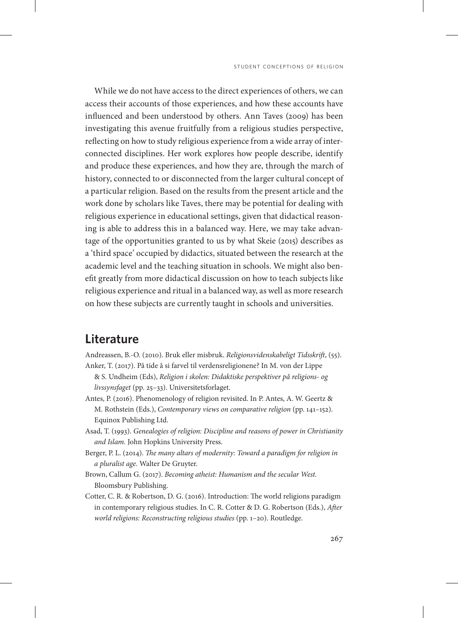While we do not have access to the direct experiences of others, we can access their accounts of those experiences, and how these accounts have influenced and been understood by others. Ann Taves (2009) has been investigating this avenue fruitfully from a religious studies perspective, reflecting on how to study religious experience from a wide array of interconnected disciplines. Her work explores how people describe, identify and produce these experiences, and how they are, through the march of history, connected to or disconnected from the larger cultural concept of a particular religion. Based on the results from the present article and the work done by scholars like Taves, there may be potential for dealing with religious experience in educational settings, given that didactical reasoning is able to address this in a balanced way. Here, we may take advantage of the opportunities granted to us by what Skeie (2015) describes as a 'third space' occupied by didactics, situated between the research at the academic level and the teaching situation in schools. We might also benefit greatly from more didactical discussion on how to teach subjects like religious experience and ritual in a balanced way, as well as more research on how these subjects are currently taught in schools and universities.

## **Literature**

- Andreassen, B.-O. (2010). Bruk eller misbruk. *Religionsvidenskabeligt Tidsskrift*, (55). Anker, T. (2017). På tide å si farvel til verdensreligionene? In M. von der Lippe
- & S. Undheim (Eds), *Religion i skolen: Didaktiske perspektiver på religions- og livssynsfaget* (pp. 25–33). Universitetsforlaget.
- Antes, P. (2016). Phenomenology of religion revisited. In P. Antes, A. W. Geertz & M. Rothstein (Eds.), *Contemporary views on comparative religion* (pp. 141–152). Equinox Publishing Ltd.
- Asad, T. (1993). *Genealogies of religion: Discipline and reasons of power in Christianity and Islam.* John Hopkins University Press.
- Berger, P. L. (2014). *The many altars of modernity: Toward a paradigm for religion in a pluralist age.* Walter De Gruyter.
- Brown, Callum G. (2017). *Becoming atheist: Humanism and the secular West.* Bloomsbury Publishing.
- Cotter, C. R. & Robertson, D. G. (2016). Introduction: The world religions paradigm in contemporary religious studies. In C. R. Cotter & D. G. Robertson (Eds.), *After world religions: Reconstructing religious studies* (pp. 1–20). Routledge.